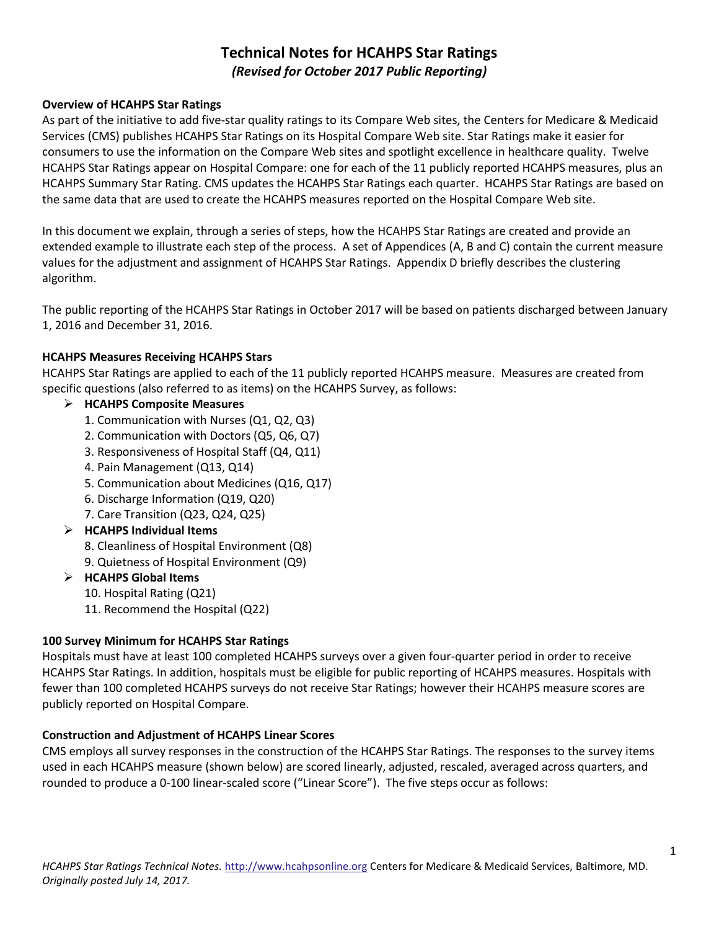# **Technical Notes for HCAHPS Star Ratings**  *(Revised for October 2017 Public Reporting)*

#### **Overview of HCAHPS Star Ratings**

As part of the initiative to add five-star quality ratings to its Compare Web sites, the Centers for Medicare & Medicaid Services (CMS) publishes HCAHPS Star Ratings on its Hospital Compare Web site. Star Ratings make it easier for consumers to use the information on the Compare Web sites and spotlight excellence in healthcare quality. Twelve HCAHPS Star Ratings appear on Hospital Compare: one for each of the 11 publicly reported HCAHPS measures, plus an HCAHPS Summary Star Rating. CMS updates the HCAHPS Star Ratings each quarter. HCAHPS Star Ratings are based on the same data that are used to create the HCAHPS measures reported on the Hospital Compare Web site.

In this document we explain, through a series of steps, how the HCAHPS Star Ratings are created and provide an extended example to illustrate each step of the process. A set of Appendices (A, B and C) contain the current measure values for the adjustment and assignment of HCAHPS Star Ratings. Appendix D briefly describes the clustering algorithm.

The public reporting of the HCAHPS Star Ratings in October 2017 will be based on patients discharged between January 1, 2016 and December 31, 2016.

#### **HCAHPS Measures Receiving HCAHPS Stars**

HCAHPS Star Ratings are applied to each of the 11 publicly reported HCAHPS measure. Measures are created from specific questions (also referred to as items) on the HCAHPS Survey, as follows:

## **HCAHPS Composite Measures**

- 1. Communication with Nurses (Q1, Q2, Q3)
- 2. Communication with Doctors (Q5, Q6, Q7)
- 3. Responsiveness of Hospital Staff (Q4, Q11)
- 4. Pain Management (Q13, Q14)
- 5. Communication about Medicines (Q16, Q17)
- 6. Discharge Information (Q19, Q20)
- 7. Care Transition (Q23, Q24, Q25)

## **HCAHPS Individual Items**

- 8. Cleanliness of Hospital Environment (Q8)
- 9. Quietness of Hospital Environment (Q9)

#### **HCAHPS Global Items**

- 10. Hospital Rating (Q21)
- 11. Recommend the Hospital (Q22)

#### **100 Survey Minimum for HCAHPS Star Ratings**

Hospitals must have at least 100 completed HCAHPS surveys over a given four-quarter period in order to receive HCAHPS Star Ratings. In addition, hospitals must be eligible for public reporting of HCAHPS measures. Hospitals with fewer than 100 completed HCAHPS surveys do not receive Star Ratings; however their HCAHPS measure scores are publicly reported on Hospital Compare.

#### **Construction and Adjustment of HCAHPS Linear Scores**

CMS employs all survey responses in the construction of the HCAHPS Star Ratings. The responses to the survey items used in each HCAHPS measure (shown below) are scored linearly, adjusted, rescaled, averaged across quarters, and rounded to produce a 0-100 linear-scaled score ("Linear Score"). The five steps occur as follows: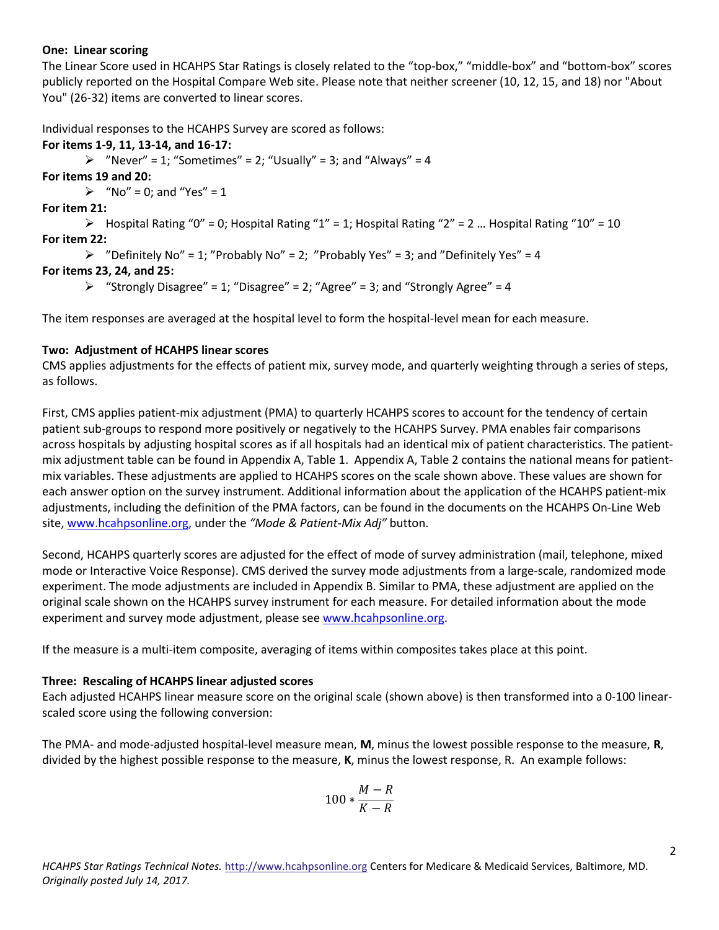#### **One: Linear scoring**

The Linear Score used in HCAHPS Star Ratings is closely related to the "top-box," "middle-box" and "bottom-box" scores publicly reported on the Hospital Compare Web site. Please note that neither screener (10, 12, 15, and 18) nor "About You" (26-32) items are converted to linear scores.

Individual responses to the HCAHPS Survey are scored as follows:

## **For items 1-9, 11, 13-14, and 16-17:**

 $\triangleright$  "Never" = 1; "Sometimes" = 2; "Usually" = 3; and "Always" = 4

**For items 19 and 20:** 

 $\triangleright$  "No" = 0; and "Yes" = 1

## **For item 21:**

 $\triangleright$  Hospital Rating "0" = 0; Hospital Rating "1" = 1; Hospital Rating "2" = 2 ... Hospital Rating "10" = 10 **For item 22:** 

```
\triangleright "Definitely No" = 1; "Probably No" = 2; "Probably Yes" = 3; and "Definitely Yes" = 4
```
## **For items 23, 24, and 25:**

 $\triangleright$  "Strongly Disagree" = 1; "Disagree" = 2; "Agree" = 3; and "Strongly Agree" = 4

The item responses are averaged at the hospital level to form the hospital-level mean for each measure.

## **Two: Adjustment of HCAHPS linear scores**

CMS applies adjustments for the effects of patient mix, survey mode, and quarterly weighting through a series of steps, as follows.

First, CMS applies patient-mix adjustment (PMA) to quarterly HCAHPS scores to account for the tendency of certain patient sub-groups to respond more positively or negatively to the HCAHPS Survey. PMA enables fair comparisons across hospitals by adjusting hospital scores as if all hospitals had an identical mix of patient characteristics. The patientmix adjustment table can be found in Appendix A, Table 1. Appendix A, Table 2 contains the national means for patientmix variables. These adjustments are applied to HCAHPS scores on the scale shown above. These values are shown for each answer option on the survey instrument. Additional information about the application of the HCAHPS patient-mix adjustments, including the definition of the PMA factors, can be found in the documents on the HCAHPS On-Line Web site, [www.hcahpsonline.org,](http://www.hcahpsonline.org/) under the *"Mode & Patient-Mix Adj"* button.

Second, HCAHPS quarterly scores are adjusted for the effect of mode of survey administration (mail, telephone, mixed mode or Interactive Voice Response). CMS derived the survey mode adjustments from a large-scale, randomized mode experiment. The mode adjustments are included in Appendix B. Similar to PMA, these adjustment are applied on the original scale shown on the HCAHPS survey instrument for each measure. For detailed information about the mode experiment and survey mode adjustment, please see [www.hcahpsonline.org.](http://www.hcahpsonline.org/)

If the measure is a multi-item composite, averaging of items within composites takes place at this point.

## **Three: Rescaling of HCAHPS linear adjusted scores**

Each adjusted HCAHPS linear measure score on the original scale (shown above) is then transformed into a 0-100 linearscaled score using the following conversion:

The PMA- and mode-adjusted hospital-level measure mean, **M**, minus the lowest possible response to the measure, **R**, divided by the highest possible response to the measure, **K**, minus the lowest response, R. An example follows:

$$
100*\frac{M-R}{K-R}
$$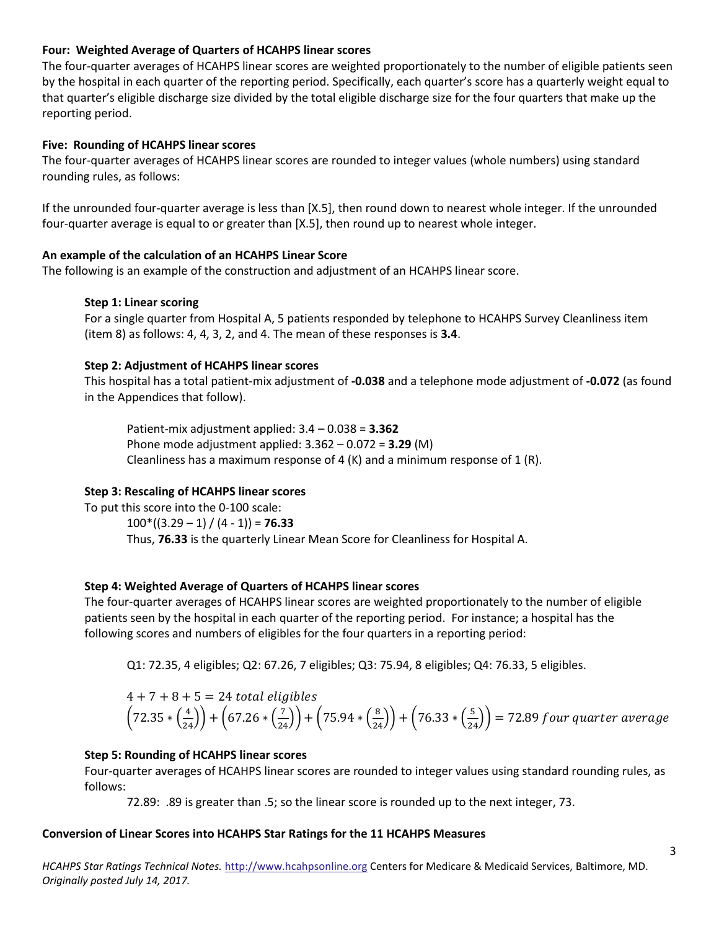#### **Four: Weighted Average of Quarters of HCAHPS linear scores**

The four-quarter averages of HCAHPS linear scores are weighted proportionately to the number of eligible patients seen by the hospital in each quarter of the reporting period. Specifically, each quarter's score has a quarterly weight equal to that quarter's eligible discharge size divided by the total eligible discharge size for the four quarters that make up the reporting period.

#### **Five: Rounding of HCAHPS linear scores**

The four-quarter averages of HCAHPS linear scores are rounded to integer values (whole numbers) using standard rounding rules, as follows:

If the unrounded four-quarter average is less than [X.5], then round down to nearest whole integer. If the unrounded four-quarter average is equal to or greater than [X.5], then round up to nearest whole integer.

#### **An example of the calculation of an HCAHPS Linear Score**

The following is an example of the construction and adjustment of an HCAHPS linear score.

#### **Step 1: Linear scoring**

For a single quarter from Hospital A, 5 patients responded by telephone to HCAHPS Survey Cleanliness item (item 8) as follows: 4, 4, 3, 2, and 4. The mean of these responses is **3.4**.

#### **Step 2: Adjustment of HCAHPS linear scores**

This hospital has a total patient-mix adjustment of **-0.038** and a telephone mode adjustment of **-0.072** (as found in the Appendices that follow).

Patient-mix adjustment applied: 3.4 – 0.038 = **3.362**  Phone mode adjustment applied: 3.362 – 0.072 = **3.29** (M) Cleanliness has a maximum response of 4  $(K)$  and a minimum response of 1  $(R)$ .

## **Step 3: Rescaling of HCAHPS linear scores**

To put this score into the 0-100 scale:  $100^*((3.29 - 1) / (4 - 1)) = 76.33$ Thus, **76.33** is the quarterly Linear Mean Score for Cleanliness for Hospital A.

#### **Step 4: Weighted Average of Quarters of HCAHPS linear scores**

The four-quarter averages of HCAHPS linear scores are weighted proportionately to the number of eligible patients seen by the hospital in each quarter of the reporting period. For instance; a hospital has the following scores and numbers of eligibles for the four quarters in a reporting period:

Q1: 72.35, 4 eligibles; Q2: 67.26, 7 eligibles; Q3: 75.94, 8 eligibles; Q4: 76.33, 5 eligibles.

$$
4 + 7 + 8 + 5 = 24
$$
 total eligibles  
 $\left(72.35 * \left(\frac{4}{24}\right)\right) + \left(67.26 * \left(\frac{7}{24}\right)\right) + \left(75.94 * \left(\frac{8}{24}\right)\right) + \left(76.33 * \left(\frac{5}{24}\right)\right) = 72.89$  four quarter average

#### **Step 5: Rounding of HCAHPS linear scores**

Four-quarter averages of HCAHPS linear scores are rounded to integer values using standard rounding rules, as follows:

72.89: .89 is greater than .5; so the linear score is rounded up to the next integer, 73.

#### **Conversion of Linear Scores into HCAHPS Star Ratings for the 11 HCAHPS Measures**

*HCAHPS Star Ratings Technical Notes.* [http://www.hcahpsonline.org](http://www.hcahpsonline.org/) Centers for Medicare & Medicaid Services, Baltimore, MD. *Originally posted July 14, 2017.*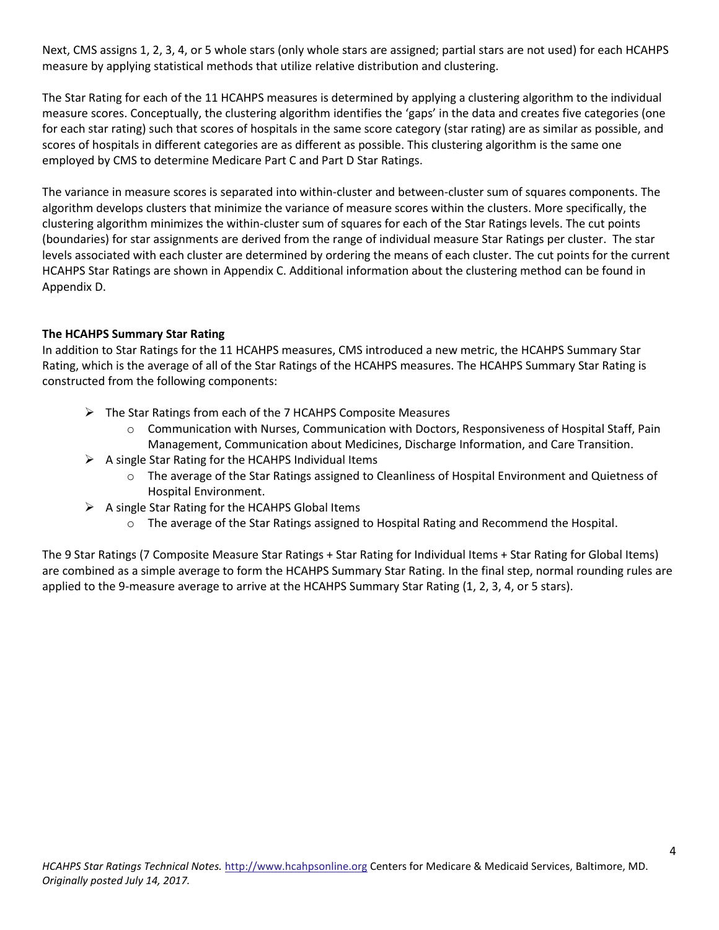Next, CMS assigns 1, 2, 3, 4, or 5 whole stars (only whole stars are assigned; partial stars are not used) for each HCAHPS measure by applying statistical methods that utilize relative distribution and clustering.

The Star Rating for each of the 11 HCAHPS measures is determined by applying a clustering algorithm to the individual measure scores. Conceptually, the clustering algorithm identifies the 'gaps' in the data and creates five categories (one for each star rating) such that scores of hospitals in the same score category (star rating) are as similar as possible, and scores of hospitals in different categories are as different as possible. This clustering algorithm is the same one employed by CMS to determine Medicare Part C and Part D Star Ratings.

The variance in measure scores is separated into within-cluster and between-cluster sum of squares components. The algorithm develops clusters that minimize the variance of measure scores within the clusters. More specifically, the clustering algorithm minimizes the within-cluster sum of squares for each of the Star Ratings levels. The cut points (boundaries) for star assignments are derived from the range of individual measure Star Ratings per cluster. The star levels associated with each cluster are determined by ordering the means of each cluster. The cut points for the current HCAHPS Star Ratings are shown in Appendix C. Additional information about the clustering method can be found in Appendix D.

#### **The HCAHPS Summary Star Rating**

In addition to Star Ratings for the 11 HCAHPS measures, CMS introduced a new metric, the HCAHPS Summary Star Rating, which is the average of all of the Star Ratings of the HCAHPS measures. The HCAHPS Summary Star Rating is constructed from the following components:

- $\triangleright$  The Star Ratings from each of the 7 HCAHPS Composite Measures
	- $\circ$  Communication with Nurses, Communication with Doctors, Responsiveness of Hospital Staff, Pain Management, Communication about Medicines, Discharge Information, and Care Transition.
- $\triangleright$  A single Star Rating for the HCAHPS Individual Items
	- o The average of the Star Ratings assigned to Cleanliness of Hospital Environment and Quietness of Hospital Environment.
- $\triangleright$  A single Star Rating for the HCAHPS Global Items
	- o The average of the Star Ratings assigned to Hospital Rating and Recommend the Hospital.

The 9 Star Ratings (7 Composite Measure Star Ratings + Star Rating for Individual Items + Star Rating for Global Items) are combined as a simple average to form the HCAHPS Summary Star Rating. In the final step, normal rounding rules are applied to the 9-measure average to arrive at the HCAHPS Summary Star Rating (1, 2, 3, 4, or 5 stars).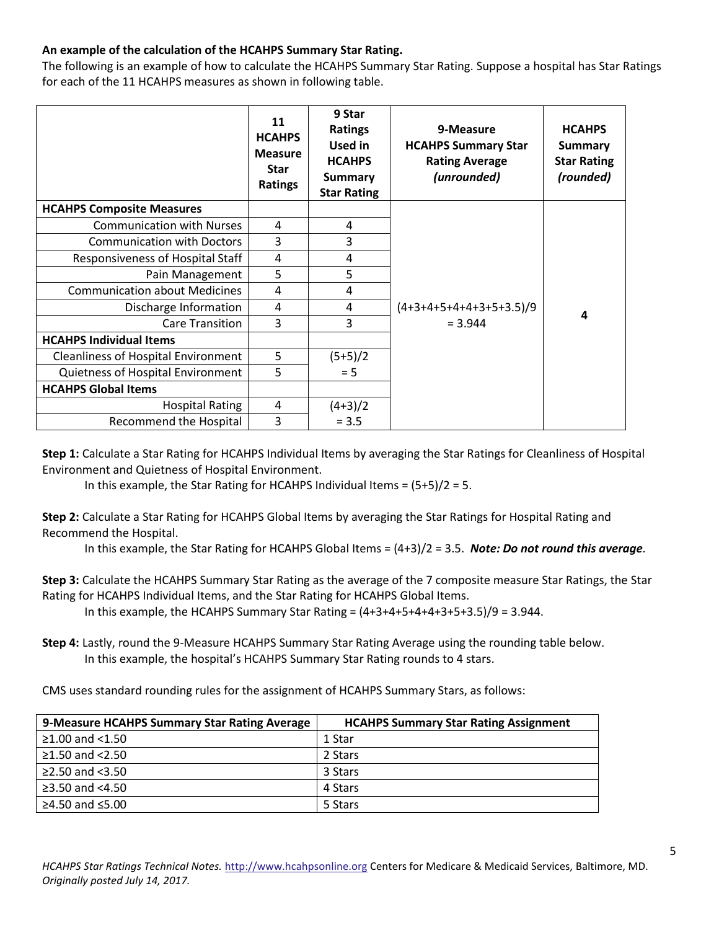## **An example of the calculation of the HCAHPS Summary Star Rating.**

The following is an example of how to calculate the HCAHPS Summary Star Rating. Suppose a hospital has Star Ratings for each of the 11 HCAHPS measures as shown in following table.

|                                            | 11<br><b>HCAHPS</b><br><b>Measure</b><br><b>Star</b><br><b>Ratings</b> | 9 Star<br><b>Ratings</b><br>Used in<br><b>HCAHPS</b><br><b>Summary</b><br><b>Star Rating</b> | 9-Measure<br><b>HCAHPS Summary Star</b><br><b>Rating Average</b><br>(unrounded) | <b>HCAHPS</b><br><b>Summary</b><br><b>Star Rating</b><br>(rounded) |
|--------------------------------------------|------------------------------------------------------------------------|----------------------------------------------------------------------------------------------|---------------------------------------------------------------------------------|--------------------------------------------------------------------|
| <b>HCAHPS Composite Measures</b>           |                                                                        |                                                                                              |                                                                                 |                                                                    |
| <b>Communication with Nurses</b>           | 4                                                                      | 4                                                                                            |                                                                                 |                                                                    |
| <b>Communication with Doctors</b>          | 3                                                                      | 3                                                                                            |                                                                                 |                                                                    |
| Responsiveness of Hospital Staff           | 4                                                                      | 4                                                                                            |                                                                                 |                                                                    |
| Pain Management                            | 5                                                                      | 5                                                                                            |                                                                                 |                                                                    |
| <b>Communication about Medicines</b>       | 4                                                                      | 4                                                                                            |                                                                                 |                                                                    |
| Discharge Information                      | 4                                                                      | 4                                                                                            | $(4+3+4+5+4+4+3+5+3.5)/9$                                                       | 4                                                                  |
| <b>Care Transition</b>                     | 3                                                                      | 3                                                                                            | $= 3.944$                                                                       |                                                                    |
| <b>HCAHPS Individual Items</b>             |                                                                        |                                                                                              |                                                                                 |                                                                    |
| <b>Cleanliness of Hospital Environment</b> | 5                                                                      | $(5+5)/2$                                                                                    |                                                                                 |                                                                    |
| Quietness of Hospital Environment          | 5                                                                      | $= 5$                                                                                        |                                                                                 |                                                                    |
| <b>HCAHPS Global Items</b>                 |                                                                        |                                                                                              |                                                                                 |                                                                    |
| <b>Hospital Rating</b>                     | 4                                                                      | $(4+3)/2$                                                                                    |                                                                                 |                                                                    |
| Recommend the Hospital                     | 3                                                                      | $= 3.5$                                                                                      |                                                                                 |                                                                    |

**Step 1:** Calculate a Star Rating for HCAHPS Individual Items by averaging the Star Ratings for Cleanliness of Hospital Environment and Quietness of Hospital Environment.

In this example, the Star Rating for HCAHPS Individual Items =  $(5+5)/2 = 5$ .

**Step 2:** Calculate a Star Rating for HCAHPS Global Items by averaging the Star Ratings for Hospital Rating and Recommend the Hospital.

In this example, the Star Rating for HCAHPS Global Items = (4+3)/2 = 3.5. *Note: Do not round this average.*

**Step 3:** Calculate the HCAHPS Summary Star Rating as the average of the 7 composite measure Star Ratings, the Star Rating for HCAHPS Individual Items, and the Star Rating for HCAHPS Global Items.

In this example, the HCAHPS Summary Star Rating =  $(4+3+4+5+4+4+3+5+3.5)/9 = 3.944$ .

**Step 4:** Lastly, round the 9-Measure HCAHPS Summary Star Rating Average using the rounding table below. In this example, the hospital's HCAHPS Summary Star Rating rounds to 4 stars.

CMS uses standard rounding rules for the assignment of HCAHPS Summary Stars, as follows:

| 9-Measure HCAHPS Summary Star Rating Average | <b>HCAHPS Summary Star Rating Assignment</b> |
|----------------------------------------------|----------------------------------------------|
| $≥1.00$ and <1.50                            | 1 Star                                       |
| $≥1.50$ and $<2.50$                          | 2 Stars                                      |
| ≥2.50 and $<3.50$                            | 3 Stars                                      |
| $\geq$ 3.50 and <4.50                        | 4 Stars                                      |
| ≥4.50 and $≤5.00$                            | 5 Stars                                      |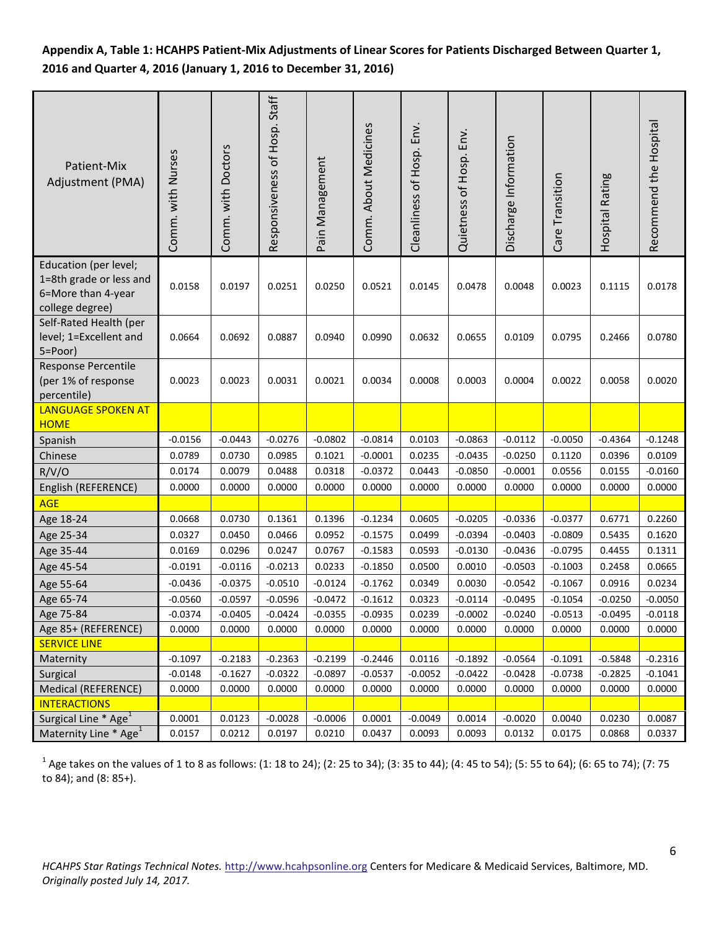## **Appendix A, Table 1: HCAHPS Patient-Mix Adjustments of Linear Scores for Patients Discharged Between Quarter 1, 2016 and Quarter 4, 2016 (January 1, 2016 to December 31, 2016)**

| Patient-Mix<br>Adjustment (PMA)                                                           | Comm. with Nurses | Comm. with Doctors | Responsiveness of Hosp. Staff | Pain Management | Comm. About Medicines | Cleanliness of Hosp. Env. | Quietness of Hosp. Env. | Discharge Information | Care Transition | Hospital Rating | Recommend the Hospital |
|-------------------------------------------------------------------------------------------|-------------------|--------------------|-------------------------------|-----------------|-----------------------|---------------------------|-------------------------|-----------------------|-----------------|-----------------|------------------------|
| Education (per level;<br>1=8th grade or less and<br>6=More than 4-year<br>college degree) | 0.0158            | 0.0197             | 0.0251                        | 0.0250          | 0.0521                | 0.0145                    | 0.0478                  | 0.0048                | 0.0023          | 0.1115          | 0.0178                 |
| Self-Rated Health (per<br>level; 1=Excellent and<br>5=Poor)                               | 0.0664            | 0.0692             | 0.0887                        | 0.0940          | 0.0990                | 0.0632                    | 0.0655                  | 0.0109                | 0.0795          | 0.2466          | 0.0780                 |
| <b>Response Percentile</b><br>(per 1% of response<br>percentile)                          | 0.0023            | 0.0023             | 0.0031                        | 0.0021          | 0.0034                | 0.0008                    | 0.0003                  | 0.0004                | 0.0022          | 0.0058          | 0.0020                 |
| <b>LANGUAGE SPOKEN AT</b><br><b>HOME</b>                                                  |                   |                    |                               |                 |                       |                           |                         |                       |                 |                 |                        |
| Spanish                                                                                   | $-0.0156$         | $-0.0443$          | $-0.0276$                     | $-0.0802$       | $-0.0814$             | 0.0103                    | $-0.0863$               | $-0.0112$             | $-0.0050$       | $-0.4364$       | $-0.1248$              |
| Chinese                                                                                   | 0.0789            | 0.0730             | 0.0985                        | 0.1021          | $-0.0001$             | 0.0235                    | $-0.0435$               | $-0.0250$             | 0.1120          | 0.0396          | 0.0109                 |
| R/V/O                                                                                     | 0.0174            | 0.0079             | 0.0488                        | 0.0318          | $-0.0372$             | 0.0443                    | $-0.0850$               | $-0.0001$             | 0.0556          | 0.0155          | $-0.0160$              |
| English (REFERENCE)                                                                       | 0.0000            | 0.0000             | 0.0000                        | 0.0000          | 0.0000                | 0.0000                    | 0.0000                  | 0.0000                | 0.0000          | 0.0000          | 0.0000                 |
| <b>AGE</b>                                                                                |                   |                    |                               |                 |                       |                           |                         |                       |                 |                 |                        |
| Age 18-24                                                                                 | 0.0668            | 0.0730             | 0.1361                        | 0.1396          | $-0.1234$             | 0.0605                    | $-0.0205$               | $-0.0336$             | $-0.0377$       | 0.6771          | 0.2260                 |
| Age 25-34                                                                                 | 0.0327            | 0.0450             | 0.0466                        | 0.0952          | $-0.1575$             | 0.0499                    | $-0.0394$               | $-0.0403$             | $-0.0809$       | 0.5435          | 0.1620                 |
| Age 35-44                                                                                 | 0.0169            | 0.0296             | 0.0247                        | 0.0767          | $-0.1583$             | 0.0593                    | $-0.0130$               | $-0.0436$             | $-0.0795$       | 0.4455          | 0.1311                 |
| Age 45-54                                                                                 | $-0.0191$         | $-0.0116$          | $-0.0213$                     | 0.0233          | $-0.1850$             | 0.0500                    | 0.0010                  | $-0.0503$             | $-0.1003$       | 0.2458          | 0.0665                 |
| Age 55-64                                                                                 | $-0.0436$         | $-0.0375$          | $-0.0510$                     | $-0.0124$       | $-0.1762$             | 0.0349                    | 0.0030                  | $-0.0542$             | $-0.1067$       | 0.0916          | 0.0234                 |
| Age 65-74                                                                                 | $-0.0560$         | $-0.0597$          | $-0.0596$                     | $-0.0472$       | $-0.1612$             | 0.0323                    | $-0.0114$               | $-0.0495$             | $-0.1054$       | $-0.0250$       | $-0.0050$              |
| Age 75-84                                                                                 | $-0.0374$         | $-0.0405$          | $-0.0424$                     | $-0.0355$       | $-0.0935$             | 0.0239                    | $-0.0002$               | $-0.0240$             | $-0.0513$       | $-0.0495$       | $-0.0118$              |
| Age 85+ (REFERENCE)                                                                       | 0.0000            | 0.0000             | 0.0000                        | 0.0000          | 0.0000                | 0.0000                    | 0.0000                  | 0.0000                | 0.0000          | 0.0000          | 0.0000                 |
| <b>SERVICE LINE</b>                                                                       |                   |                    |                               |                 |                       |                           |                         |                       |                 |                 |                        |
| Maternity                                                                                 | $-0.1097$         | $-0.2183$          | $-0.2363$                     | $-0.2199$       | $-0.2446$             | 0.0116                    | $-0.1892$               | $-0.0564$             | $-0.1091$       | $-0.5848$       | $-0.2316$              |
| Surgical                                                                                  | $-0.0148$         | $-0.1627$          | $-0.0322$                     | $-0.0897$       | $-0.0537$             | $-0.0052$                 | $-0.0422$               | $-0.0428$             | $-0.0738$       | $-0.2825$       | $-0.1041$              |
| Medical (REFERENCE)                                                                       | 0.0000            | 0.0000             | 0.0000                        | 0.0000          | 0.0000                | 0.0000                    | 0.0000                  | 0.0000                | 0.0000          | 0.0000          | 0.0000                 |
| <b>INTERACTIONS</b>                                                                       |                   |                    |                               |                 |                       |                           |                         |                       |                 |                 |                        |
| Surgical Line <sup>*</sup> Age <sup>1</sup>                                               | 0.0001            | 0.0123             | $-0.0028$                     | $-0.0006$       | 0.0001                | $-0.0049$                 | 0.0014                  | $-0.0020$             | 0.0040          | 0.0230          | 0.0087                 |
| Maternity Line * Age <sup>1</sup>                                                         | 0.0157            | 0.0212             | 0.0197                        | 0.0210          | 0.0437                | 0.0093                    | 0.0093                  | 0.0132                | 0.0175          | 0.0868          | 0.0337                 |

 $^1$  Age takes on the values of 1 to 8 as follows: (1: 18 to 24); (2: 25 to 34); (3: 35 to 44); (4: 45 to 54); (5: 55 to 64); (6: 65 to 74); (7: 75 to 84); and (8: 85+).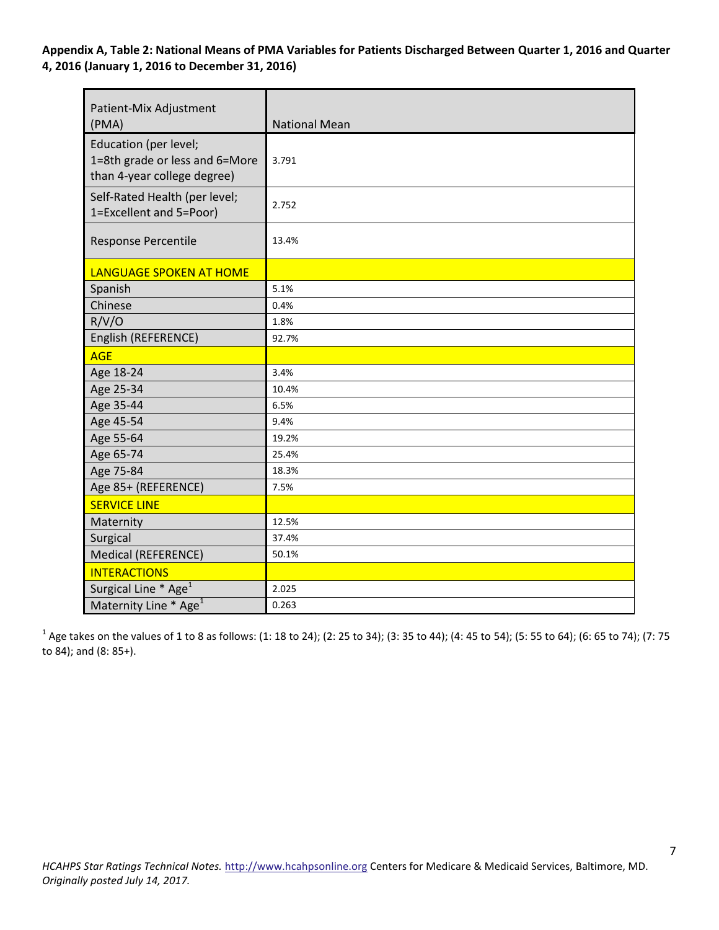**Appendix A, Table 2: National Means of PMA Variables for Patients Discharged Between Quarter 1, 2016 and Quarter 4, 2016 (January 1, 2016 to December 31, 2016)** 

| Patient-Mix Adjustment<br>(PMA)                                                        | <b>National Mean</b> |
|----------------------------------------------------------------------------------------|----------------------|
| Education (per level;<br>1=8th grade or less and 6=More<br>than 4-year college degree) | 3.791                |
| Self-Rated Health (per level;<br>1=Excellent and 5=Poor)                               | 2.752                |
| Response Percentile                                                                    | 13.4%                |
| <b>LANGUAGE SPOKEN AT HOME</b>                                                         |                      |
| Spanish                                                                                | 5.1%                 |
| Chinese                                                                                | 0.4%                 |
| R/V/O                                                                                  | 1.8%                 |
| English (REFERENCE)                                                                    | 92.7%                |
| <b>AGE</b>                                                                             |                      |
| Age 18-24                                                                              | 3.4%                 |
| Age 25-34                                                                              | 10.4%                |
| Age 35-44                                                                              | 6.5%                 |
| Age 45-54                                                                              | 9.4%                 |
| Age 55-64                                                                              | 19.2%                |
| Age 65-74                                                                              | 25.4%                |
| Age 75-84                                                                              | 18.3%                |
| Age 85+ (REFERENCE)                                                                    | 7.5%                 |
| <b>SERVICE LINE</b>                                                                    |                      |
| Maternity                                                                              | 12.5%                |
| Surgical                                                                               | 37.4%                |
| Medical (REFERENCE)                                                                    | 50.1%                |
| <b>INTERACTIONS</b>                                                                    |                      |
| Surgical Line * Age <sup>1</sup>                                                       | 2.025                |
| Maternity Line * Age <sup>1</sup>                                                      | 0.263                |

 $^1$  Age takes on the values of 1 to 8 as follows: (1: 18 to 24); (2: 25 to 34); (3: 35 to 44); (4: 45 to 54); (5: 55 to 64); (6: 65 to 74); (7: 75 to 84); and (8: 85+).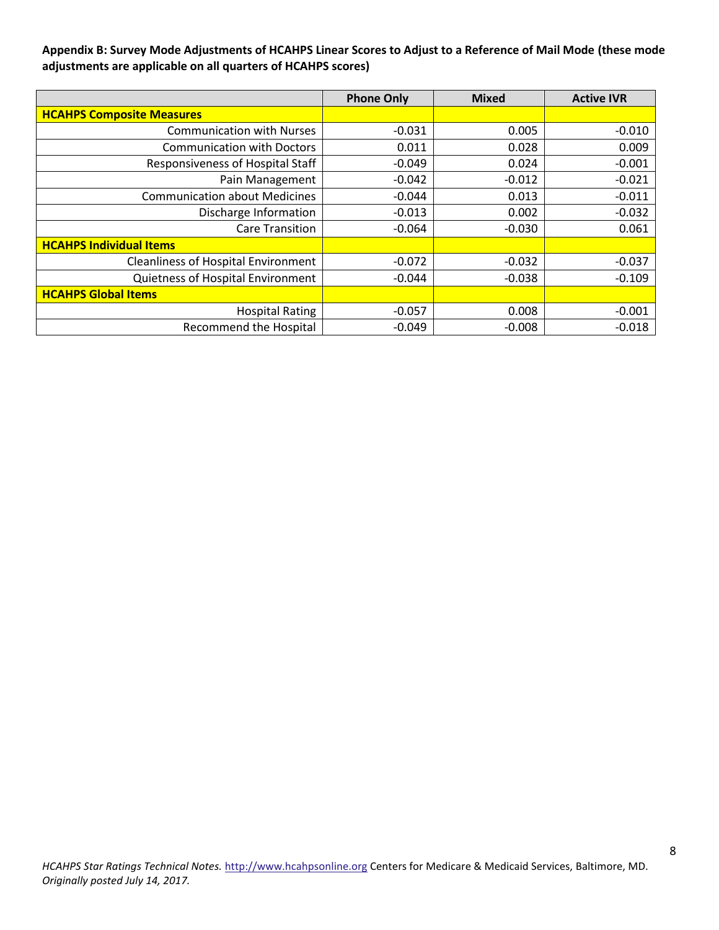#### **Appendix B: Survey Mode Adjustments of HCAHPS Linear Scores to Adjust to a Reference of Mail Mode (these mode adjustments are applicable on all quarters of HCAHPS scores)**

|                                            | <b>Phone Only</b> | <b>Mixed</b> | <b>Active IVR</b> |
|--------------------------------------------|-------------------|--------------|-------------------|
| <b>HCAHPS Composite Measures</b>           |                   |              |                   |
| <b>Communication with Nurses</b>           | $-0.031$          | 0.005        | $-0.010$          |
| <b>Communication with Doctors</b>          | 0.011             | 0.028        | 0.009             |
| Responsiveness of Hospital Staff           | $-0.049$          | 0.024        | $-0.001$          |
| Pain Management                            | $-0.042$          | $-0.012$     | $-0.021$          |
| <b>Communication about Medicines</b>       | $-0.044$          | 0.013        | $-0.011$          |
| Discharge Information                      | $-0.013$          | 0.002        | $-0.032$          |
| <b>Care Transition</b>                     | $-0.064$          | $-0.030$     | 0.061             |
| <b>HCAHPS Individual Items</b>             |                   |              |                   |
| <b>Cleanliness of Hospital Environment</b> | $-0.072$          | $-0.032$     | $-0.037$          |
| Quietness of Hospital Environment          | $-0.044$          | $-0.038$     | $-0.109$          |
| <b>HCAHPS Global Items</b>                 |                   |              |                   |
| <b>Hospital Rating</b>                     | $-0.057$          | 0.008        | $-0.001$          |
| <b>Recommend the Hospital</b>              | $-0.049$          | $-0.008$     | $-0.018$          |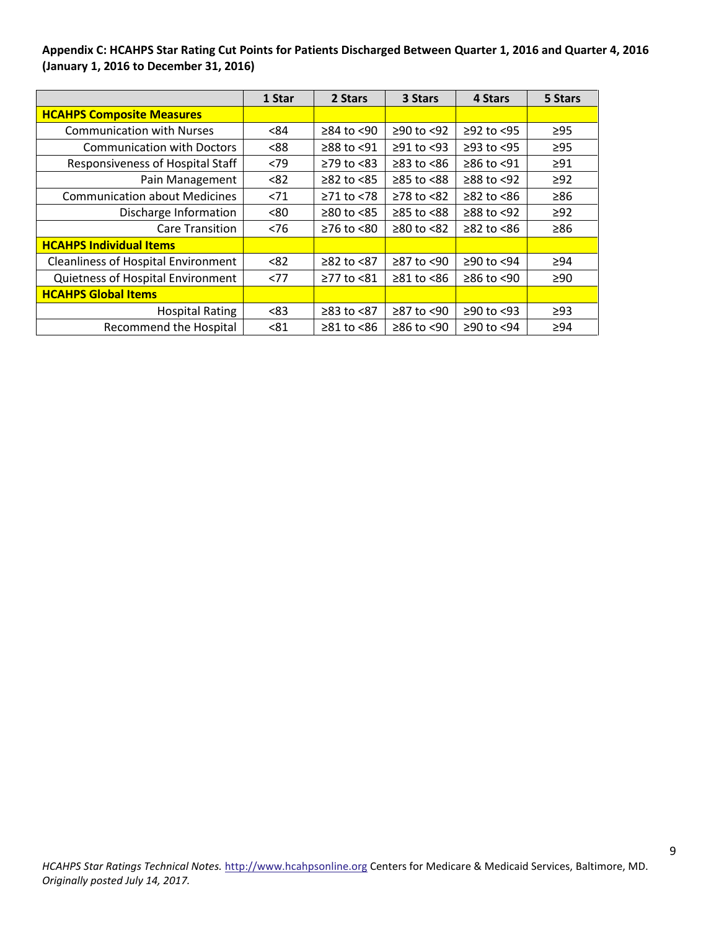**Appendix C: HCAHPS Star Rating Cut Points for Patients Discharged Between Quarter 1, 2016 and Quarter 4, 2016 (January 1, 2016 to December 31, 2016)** 

|                                            | 1 Star | 2 Stars                | 3 Stars          | 4 Stars        | 5 Stars   |
|--------------------------------------------|--------|------------------------|------------------|----------------|-----------|
| <b>HCAHPS Composite Measures</b>           |        |                        |                  |                |           |
| <b>Communication with Nurses</b>           | < 84   | $≥84$ to <90           | ≥90 to <92       | $≥92$ to <95   | $\geq$ 95 |
| <b>Communication with Doctors</b>          | < 88   | ≥88 to <91             | $\geq$ 91 to <93 | $≥93$ to <95   | $\geq$ 95 |
| Responsiveness of Hospital Staff           | < 79   | $\geq$ 79 to <83       | $\geq$ 83 to <86 | ≥86 to <91     | $\geq 91$ |
| Pain Management                            | <82    | $≥82$ to $≤85$         | ≥85 to <88       | $≥88$ to $≤92$ | $\geq 92$ |
| <b>Communication about Medicines</b>       | < 71   | $≥71$ to <78           | $≥78$ to $≤82$   | $≥82$ to <86   | $\geq 86$ |
| Discharge Information                      | <80    | $\geq 80$ to $\leq 85$ | $≥85$ to $<88$   | $≥88$ to <92   | $\geq$ 92 |
| <b>Care Transition</b>                     | < 76   | $≥76$ to <80           | $≥80$ to <82     | $≥82$ to $≤86$ | $\geq 86$ |
| <b>HCAHPS Individual Items</b>             |        |                        |                  |                |           |
| <b>Cleanliness of Hospital Environment</b> | < 82   | $≥82$ to $≤87$         | $\geq$ 87 to <90 | $≥90$ to <94   | >94       |
| Quietness of Hospital Environment          | <77    | ≥77 to <81             | $\geq 81$ to <86 | $≥86$ to <90   | $\geq 90$ |
| <b>HCAHPS Global Items</b>                 |        |                        |                  |                |           |
| <b>Hospital Rating</b>                     | < 83   | $≥83$ to $≤87$         | $≥87$ to <90     | $≥90$ to <93   | $\geq$ 93 |
| <b>Recommend the Hospital</b>              | < 81   | $\geq 81$ to <86       | $\geq 86$ to <90 | ≥90 to <94     | $\geq 94$ |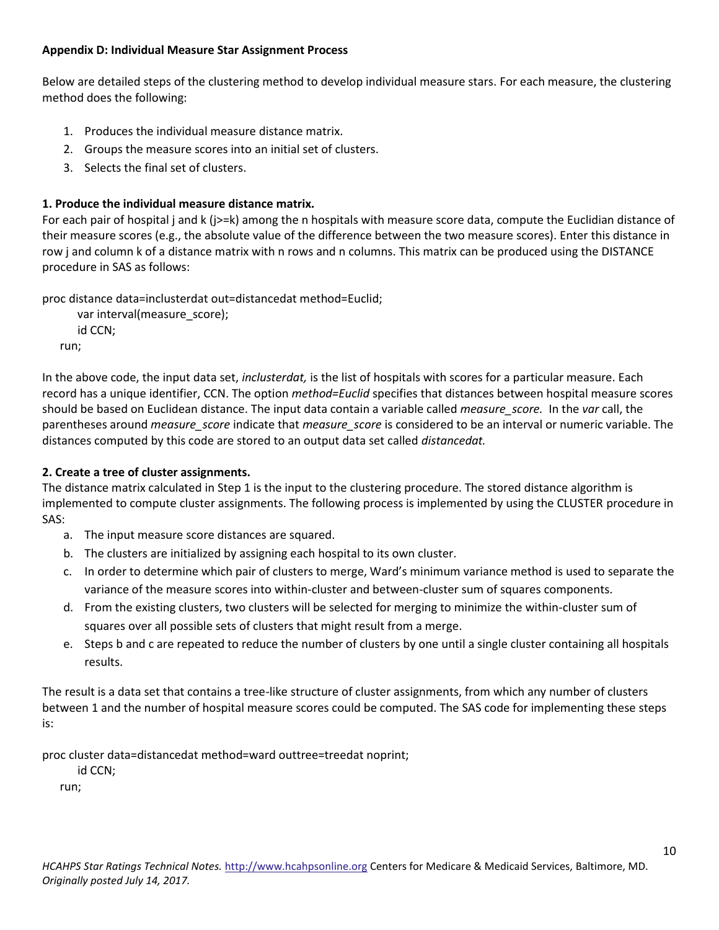#### **Appendix D: Individual Measure Star Assignment Process**

Below are detailed steps of the clustering method to develop individual measure stars. For each measure, the clustering method does the following:

- 1. Produces the individual measure distance matrix.
- 2. Groups the measure scores into an initial set of clusters.
- 3. Selects the final set of clusters.

## **1. Produce the individual measure distance matrix.**

For each pair of hospital j and k (j>=k) among the n hospitals with measure score data, compute the Euclidian distance of their measure scores (e.g., the absolute value of the difference between the two measure scores). Enter this distance in row j and column k of a distance matrix with n rows and n columns. This matrix can be produced using the DISTANCE procedure in SAS as follows:

proc distance data=inclusterdat out=distancedat method=Euclid;

```
 var interval(measure_score);
   id CCN;
run;
```
In the above code, the input data set, *inclusterdat,* is the list of hospitals with scores for a particular measure. Each record has a unique identifier, CCN. The option *method=Euclid* specifies that distances between hospital measure scores should be based on Euclidean distance. The input data contain a variable called *measure\_score.* In the *var* call, the parentheses around *measure\_score* indicate that *measure\_score* is considered to be an interval or numeric variable. The distances computed by this code are stored to an output data set called *distancedat.* 

## **2. Create a tree of cluster assignments.**

The distance matrix calculated in Step 1 is the input to the clustering procedure. The stored distance algorithm is implemented to compute cluster assignments. The following process is implemented by using the CLUSTER procedure in SAS:

- a. The input measure score distances are squared.
- b. The clusters are initialized by assigning each hospital to its own cluster.
- c. In order to determine which pair of clusters to merge, Ward's minimum variance method is used to separate the variance of the measure scores into within-cluster and between-cluster sum of squares components.
- d. From the existing clusters, two clusters will be selected for merging to minimize the within-cluster sum of squares over all possible sets of clusters that might result from a merge.
- e. Steps b and c are repeated to reduce the number of clusters by one until a single cluster containing all hospitals results.

The result is a data set that contains a tree-like structure of cluster assignments, from which any number of clusters between 1 and the number of hospital measure scores could be computed. The SAS code for implementing these steps is:

proc cluster data=distancedat method=ward outtree=treedat noprint;

id CCN;

run;